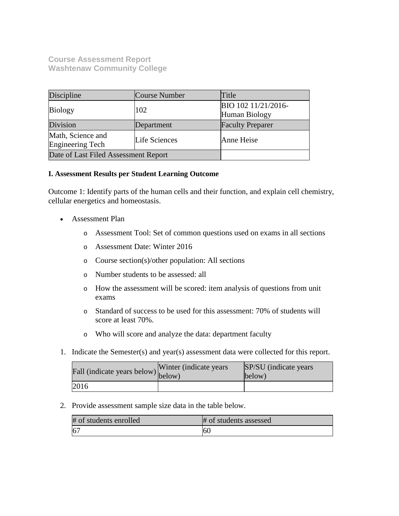**Course Assessment Report Washtenaw Community College**

| Discipline                            | Course Number        | Title                                |
|---------------------------------------|----------------------|--------------------------------------|
| <b>Biology</b>                        | 102                  | BIO 102 11/21/2016-<br>Human Biology |
| Division                              | Department           | <b>Faculty Preparer</b>              |
| Math, Science and<br>Engineering Tech | <b>Life Sciences</b> | Anne Heise                           |
| Date of Last Filed Assessment Report  |                      |                                      |

# **I. Assessment Results per Student Learning Outcome**

Outcome 1: Identify parts of the human cells and their function, and explain cell chemistry, cellular energetics and homeostasis.

- Assessment Plan
	- o Assessment Tool: Set of common questions used on exams in all sections
	- o Assessment Date: Winter 2016
	- o Course section(s)/other population: All sections
	- o Number students to be assessed: all
	- o How the assessment will be scored: item analysis of questions from unit exams
	- o Standard of success to be used for this assessment: 70% of students will score at least 70%.
	- o Who will score and analyze the data: department faculty
- 1. Indicate the Semester(s) and year(s) assessment data were collected for this report.

| Fall (indicate years below) below) | Winter (indicate years) | SP/SU (indicate years)<br>below) |
|------------------------------------|-------------------------|----------------------------------|
| 2016                               |                         |                                  |

2. Provide assessment sample size data in the table below.

| # of students enrolled | # of students assessed |
|------------------------|------------------------|
|                        | 60                     |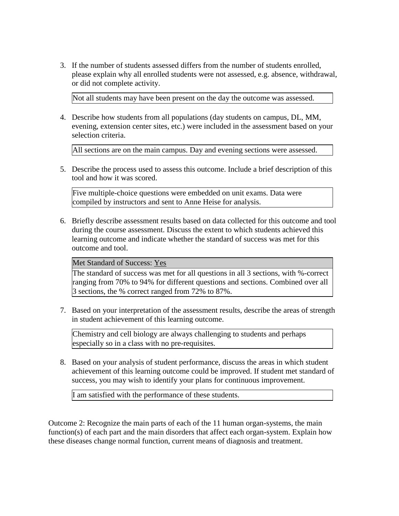3. If the number of students assessed differs from the number of students enrolled, please explain why all enrolled students were not assessed, e.g. absence, withdrawal, or did not complete activity.

Not all students may have been present on the day the outcome was assessed.

4. Describe how students from all populations (day students on campus, DL, MM, evening, extension center sites, etc.) were included in the assessment based on your selection criteria.

All sections are on the main campus. Day and evening sections were assessed.

5. Describe the process used to assess this outcome. Include a brief description of this tool and how it was scored.

Five multiple-choice questions were embedded on unit exams. Data were compiled by instructors and sent to Anne Heise for analysis.

6. Briefly describe assessment results based on data collected for this outcome and tool during the course assessment. Discuss the extent to which students achieved this learning outcome and indicate whether the standard of success was met for this outcome and tool.

Met Standard of Success: Yes

The standard of success was met for all questions in all 3 sections, with %-correct ranging from 70% to 94% for different questions and sections. Combined over all 3 sections, the % correct ranged from 72% to 87%.

7. Based on your interpretation of the assessment results, describe the areas of strength in student achievement of this learning outcome.

Chemistry and cell biology are always challenging to students and perhaps especially so in a class with no pre-requisites.

8. Based on your analysis of student performance, discuss the areas in which student achievement of this learning outcome could be improved. If student met standard of success, you may wish to identify your plans for continuous improvement.

I am satisfied with the performance of these students.

Outcome 2: Recognize the main parts of each of the 11 human organ-systems, the main function(s) of each part and the main disorders that affect each organ-system. Explain how these diseases change normal function, current means of diagnosis and treatment.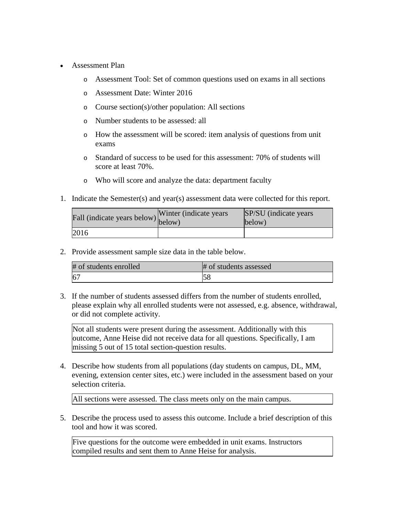- Assessment Plan
	- o Assessment Tool: Set of common questions used on exams in all sections
	- o Assessment Date: Winter 2016
	- o Course section(s)/other population: All sections
	- o Number students to be assessed: all
	- o How the assessment will be scored: item analysis of questions from unit exams
	- o Standard of success to be used for this assessment: 70% of students will score at least 70%.
	- o Who will score and analyze the data: department faculty
- 1. Indicate the Semester(s) and year(s) assessment data were collected for this report.

| Fall (indicate years below) below) | Winter (indicate years) | SP/SU (indicate years)<br>below) |
|------------------------------------|-------------------------|----------------------------------|
| 2016                               |                         |                                  |

2. Provide assessment sample size data in the table below.

| # of students enrolled | # of students assessed |
|------------------------|------------------------|
| 6 <sup>7</sup>         |                        |

3. If the number of students assessed differs from the number of students enrolled, please explain why all enrolled students were not assessed, e.g. absence, withdrawal, or did not complete activity.

Not all students were present during the assessment. Additionally with this outcome, Anne Heise did not receive data for all questions. Specifically, I am missing 5 out of 15 total section-question results.

4. Describe how students from all populations (day students on campus, DL, MM, evening, extension center sites, etc.) were included in the assessment based on your selection criteria.

All sections were assessed. The class meets only on the main campus.

5. Describe the process used to assess this outcome. Include a brief description of this tool and how it was scored.

Five questions for the outcome were embedded in unit exams. Instructors compiled results and sent them to Anne Heise for analysis.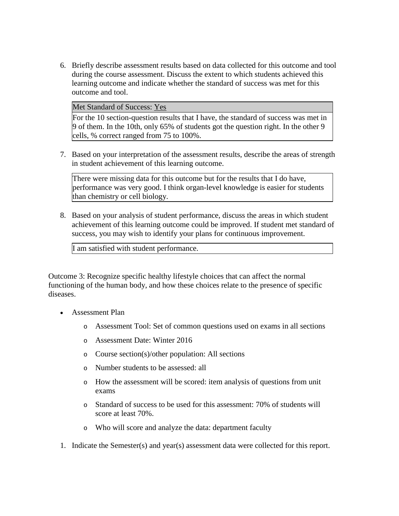6. Briefly describe assessment results based on data collected for this outcome and tool during the course assessment. Discuss the extent to which students achieved this learning outcome and indicate whether the standard of success was met for this outcome and tool.

Met Standard of Success: Yes

For the 10 section-question results that I have, the standard of success was met in 9 of them. In the 10th, only 65% of students got the question right. In the other 9 cells, % correct ranged from 75 to 100%.

7. Based on your interpretation of the assessment results, describe the areas of strength in student achievement of this learning outcome.

There were missing data for this outcome but for the results that I do have, performance was very good. I think organ-level knowledge is easier for students than chemistry or cell biology.

8. Based on your analysis of student performance, discuss the areas in which student achievement of this learning outcome could be improved. If student met standard of success, you may wish to identify your plans for continuous improvement.

I am satisfied with student performance.

Outcome 3: Recognize specific healthy lifestyle choices that can affect the normal functioning of the human body, and how these choices relate to the presence of specific diseases.

- Assessment Plan
	- o Assessment Tool: Set of common questions used on exams in all sections
	- o Assessment Date: Winter 2016
	- o Course section(s)/other population: All sections
	- o Number students to be assessed: all
	- o How the assessment will be scored: item analysis of questions from unit exams
	- o Standard of success to be used for this assessment: 70% of students will score at least 70%.
	- o Who will score and analyze the data: department faculty
- 1. Indicate the Semester(s) and year(s) assessment data were collected for this report.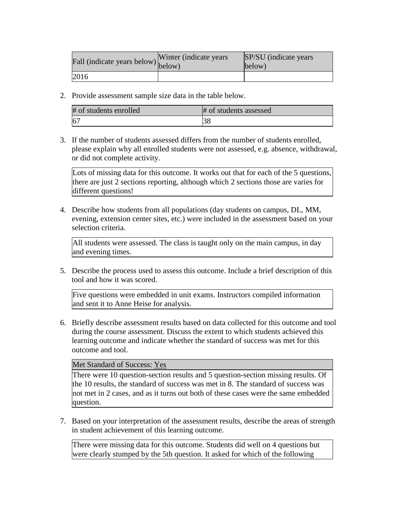| Fall (indicate years below) below) | Winter (indicate years) | SP/SU (indicate years)<br>below) |
|------------------------------------|-------------------------|----------------------------------|
| 2016                               |                         |                                  |

2. Provide assessment sample size data in the table below.

| # of students enrolled | # of students assessed |
|------------------------|------------------------|
| 6 <sup>7</sup>         |                        |

3. If the number of students assessed differs from the number of students enrolled, please explain why all enrolled students were not assessed, e.g. absence, withdrawal, or did not complete activity.

Lots of missing data for this outcome. It works out that for each of the 5 questions, there are just 2 sections reporting, although which 2 sections those are varies for different questions!

4. Describe how students from all populations (day students on campus, DL, MM, evening, extension center sites, etc.) were included in the assessment based on your selection criteria.

All students were assessed. The class is taught only on the main campus, in day and evening times.

5. Describe the process used to assess this outcome. Include a brief description of this tool and how it was scored.

Five questions were embedded in unit exams. Instructors compiled information and sent it to Anne Heise for analysis.

6. Briefly describe assessment results based on data collected for this outcome and tool during the course assessment. Discuss the extent to which students achieved this learning outcome and indicate whether the standard of success was met for this outcome and tool.

## Met Standard of Success: Yes

There were 10 question-section results and 5 question-section missing results. Of the 10 results, the standard of success was met in 8. The standard of success was not met in 2 cases, and as it turns out both of these cases were the same embedded question.

7. Based on your interpretation of the assessment results, describe the areas of strength in student achievement of this learning outcome.

There were missing data for this outcome. Students did well on 4 questions but were clearly stumped by the 5th question. It asked for which of the following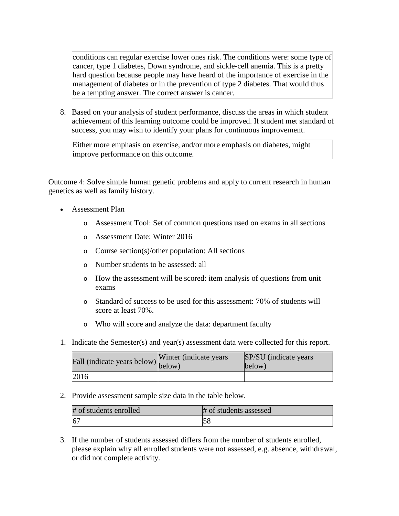conditions can regular exercise lower ones risk. The conditions were: some type of cancer, type 1 diabetes, Down syndrome, and sickle-cell anemia. This is a pretty hard question because people may have heard of the importance of exercise in the management of diabetes or in the prevention of type 2 diabetes. That would thus be a tempting answer. The correct answer is cancer.

8. Based on your analysis of student performance, discuss the areas in which student achievement of this learning outcome could be improved. If student met standard of success, you may wish to identify your plans for continuous improvement.

Either more emphasis on exercise, and/or more emphasis on diabetes, might improve performance on this outcome.

Outcome 4: Solve simple human genetic problems and apply to current research in human genetics as well as family history.

- Assessment Plan
	- o Assessment Tool: Set of common questions used on exams in all sections
	- o Assessment Date: Winter 2016
	- o Course section(s)/other population: All sections
	- o Number students to be assessed: all
	- o How the assessment will be scored: item analysis of questions from unit exams
	- o Standard of success to be used for this assessment: 70% of students will score at least 70%.
	- o Who will score and analyze the data: department faculty
- 1. Indicate the Semester(s) and year(s) assessment data were collected for this report.

| Fall (indicate years below) below) | Winter (indicate years) | SP/SU (indicate years)<br>below) |
|------------------------------------|-------------------------|----------------------------------|
| 2016                               |                         |                                  |

2. Provide assessment sample size data in the table below.

| # of students enrolled | # of students assessed |
|------------------------|------------------------|
| 6 <sup>7</sup>         | 58                     |

3. If the number of students assessed differs from the number of students enrolled, please explain why all enrolled students were not assessed, e.g. absence, withdrawal, or did not complete activity.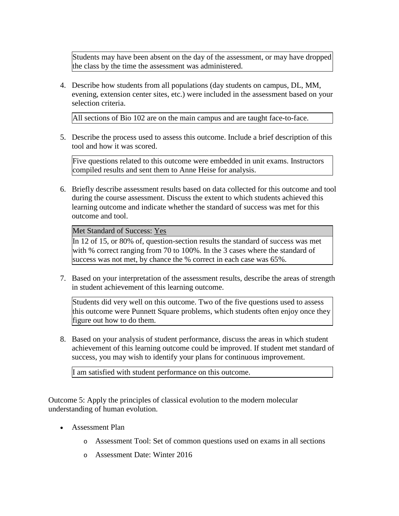Students may have been absent on the day of the assessment, or may have dropped the class by the time the assessment was administered.

4. Describe how students from all populations (day students on campus, DL, MM, evening, extension center sites, etc.) were included in the assessment based on your selection criteria.

All sections of Bio 102 are on the main campus and are taught face-to-face.

5. Describe the process used to assess this outcome. Include a brief description of this tool and how it was scored.

Five questions related to this outcome were embedded in unit exams. Instructors compiled results and sent them to Anne Heise for analysis.

6. Briefly describe assessment results based on data collected for this outcome and tool during the course assessment. Discuss the extent to which students achieved this learning outcome and indicate whether the standard of success was met for this outcome and tool.

Met Standard of Success: Yes

In 12 of 15, or 80% of, question-section results the standard of success was met with % correct ranging from 70 to 100%. In the 3 cases where the standard of success was not met, by chance the % correct in each case was 65%.

7. Based on your interpretation of the assessment results, describe the areas of strength in student achievement of this learning outcome.

Students did very well on this outcome. Two of the five questions used to assess this outcome were Punnett Square problems, which students often enjoy once they figure out how to do them.

8. Based on your analysis of student performance, discuss the areas in which student achievement of this learning outcome could be improved. If student met standard of success, you may wish to identify your plans for continuous improvement.

I am satisfied with student performance on this outcome.

Outcome 5: Apply the principles of classical evolution to the modern molecular understanding of human evolution.

- Assessment Plan
	- o Assessment Tool: Set of common questions used on exams in all sections
	- o Assessment Date: Winter 2016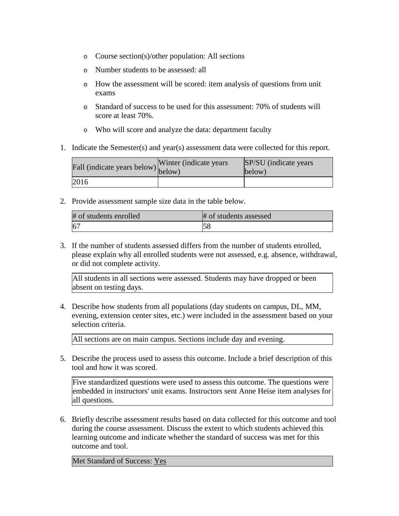- o Course section(s)/other population: All sections
- o Number students to be assessed: all
- o How the assessment will be scored: item analysis of questions from unit exams
- o Standard of success to be used for this assessment: 70% of students will score at least 70%.
- o Who will score and analyze the data: department faculty
- 1. Indicate the Semester(s) and year(s) assessment data were collected for this report.

| Fall (indicate years below) below) | Winter (indicate years) | SP/SU (indicate years)<br>below) |
|------------------------------------|-------------------------|----------------------------------|
| 2016                               |                         |                                  |

2. Provide assessment sample size data in the table below.

| # of students enrolled | # of students assessed |
|------------------------|------------------------|
| 6 <sup>7</sup>         | IJΟ                    |

3. If the number of students assessed differs from the number of students enrolled, please explain why all enrolled students were not assessed, e.g. absence, withdrawal, or did not complete activity.

All students in all sections were assessed. Students may have dropped or been absent on testing days.

4. Describe how students from all populations (day students on campus, DL, MM, evening, extension center sites, etc.) were included in the assessment based on your selection criteria.

All sections are on main campus. Sections include day and evening.

5. Describe the process used to assess this outcome. Include a brief description of this tool and how it was scored.

Five standardized questions were used to assess this outcome. The questions were embedded in instructors' unit exams. Instructors sent Anne Heise item analyses for all questions.

6. Briefly describe assessment results based on data collected for this outcome and tool during the course assessment. Discuss the extent to which students achieved this learning outcome and indicate whether the standard of success was met for this outcome and tool.

Met Standard of Success: Yes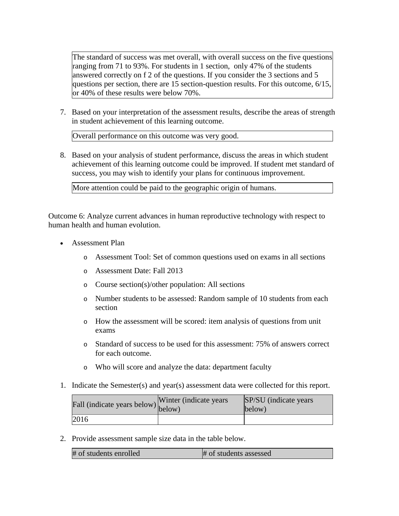The standard of success was met overall, with overall success on the five questions ranging from 71 to 93%. For students in 1 section, only 47% of the students answered correctly on f 2 of the questions. If you consider the 3 sections and 5 questions per section, there are 15 section-question results. For this outcome, 6/15, or 40% of these results were below 70%.

7. Based on your interpretation of the assessment results, describe the areas of strength in student achievement of this learning outcome.

Overall performance on this outcome was very good.

8. Based on your analysis of student performance, discuss the areas in which student achievement of this learning outcome could be improved. If student met standard of success, you may wish to identify your plans for continuous improvement.

More attention could be paid to the geographic origin of humans.

Outcome 6: Analyze current advances in human reproductive technology with respect to human health and human evolution.

- Assessment Plan
	- o Assessment Tool: Set of common questions used on exams in all sections
	- o Assessment Date: Fall 2013
	- o Course section(s)/other population: All sections
	- o Number students to be assessed: Random sample of 10 students from each section
	- o How the assessment will be scored: item analysis of questions from unit exams
	- o Standard of success to be used for this assessment: 75% of answers correct for each outcome.
	- o Who will score and analyze the data: department faculty
- 1. Indicate the Semester(s) and year(s) assessment data were collected for this report.

| Fall (indicate years below) below) | Winter (indicate years | SP/SU (indicate years)<br>below) |
|------------------------------------|------------------------|----------------------------------|
| 2016                               |                        |                                  |

2. Provide assessment sample size data in the table below.

| # of students enrolled | # of students assessed |
|------------------------|------------------------|
|------------------------|------------------------|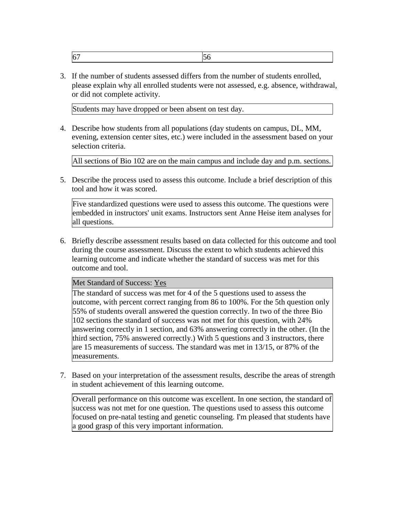|--|--|

3. If the number of students assessed differs from the number of students enrolled, please explain why all enrolled students were not assessed, e.g. absence, withdrawal, or did not complete activity.

Students may have dropped or been absent on test day.

4. Describe how students from all populations (day students on campus, DL, MM, evening, extension center sites, etc.) were included in the assessment based on your selection criteria.

All sections of Bio 102 are on the main campus and include day and p.m. sections.

5. Describe the process used to assess this outcome. Include a brief description of this tool and how it was scored.

Five standardized questions were used to assess this outcome. The questions were embedded in instructors' unit exams. Instructors sent Anne Heise item analyses for all questions.

6. Briefly describe assessment results based on data collected for this outcome and tool during the course assessment. Discuss the extent to which students achieved this learning outcome and indicate whether the standard of success was met for this outcome and tool.

# Met Standard of Success: Yes

The standard of success was met for 4 of the 5 questions used to assess the outcome, with percent correct ranging from 86 to 100%. For the 5th question only 55% of students overall answered the question correctly. In two of the three Bio 102 sections the standard of success was not met for this question, with 24% answering correctly in 1 section, and 63% answering correctly in the other. (In the third section, 75% answered correctly.) With 5 questions and 3 instructors, there are 15 measurements of success. The standard was met in 13/15, or 87% of the measurements.

7. Based on your interpretation of the assessment results, describe the areas of strength in student achievement of this learning outcome.

Overall performance on this outcome was excellent. In one section, the standard of success was not met for one question. The questions used to assess this outcome focused on pre-natal testing and genetic counseling. I'm pleased that students have a good grasp of this very important information.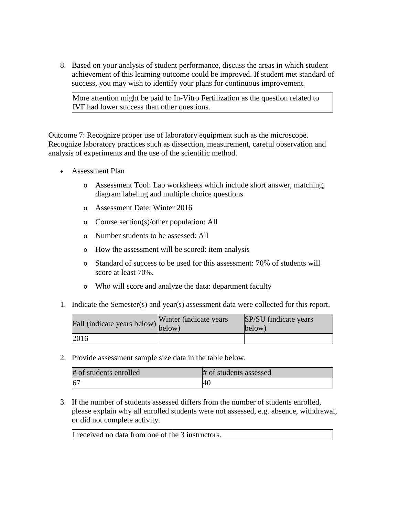8. Based on your analysis of student performance, discuss the areas in which student achievement of this learning outcome could be improved. If student met standard of success, you may wish to identify your plans for continuous improvement.

More attention might be paid to In-Vitro Fertilization as the question related to IVF had lower success than other questions.

Outcome 7: Recognize proper use of laboratory equipment such as the microscope. Recognize laboratory practices such as dissection, measurement, careful observation and analysis of experiments and the use of the scientific method.

- Assessment Plan
	- o Assessment Tool: Lab worksheets which include short answer, matching, diagram labeling and multiple choice questions
	- o Assessment Date: Winter 2016
	- o Course section(s)/other population: All
	- o Number students to be assessed: All
	- o How the assessment will be scored: item analysis
	- o Standard of success to be used for this assessment: 70% of students will score at least 70%.
	- o Who will score and analyze the data: department faculty
- 1. Indicate the Semester(s) and year(s) assessment data were collected for this report.

| rall (indicate years below) below) | Winter (indicate years) | SP/SU (indicate years)<br>below) |
|------------------------------------|-------------------------|----------------------------------|
| 2016                               |                         |                                  |

2. Provide assessment sample size data in the table below.

| # of students enrolled | # of students assessed |  |
|------------------------|------------------------|--|
| 6 <sup>7</sup>         | 40                     |  |

3. If the number of students assessed differs from the number of students enrolled, please explain why all enrolled students were not assessed, e.g. absence, withdrawal, or did not complete activity.

I received no data from one of the 3 instructors.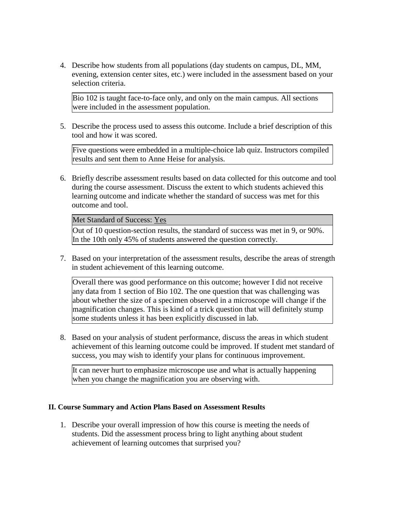4. Describe how students from all populations (day students on campus, DL, MM, evening, extension center sites, etc.) were included in the assessment based on your selection criteria.

Bio 102 is taught face-to-face only, and only on the main campus. All sections were included in the assessment population.

5. Describe the process used to assess this outcome. Include a brief description of this tool and how it was scored.

Five questions were embedded in a multiple-choice lab quiz. Instructors compiled results and sent them to Anne Heise for analysis.

6. Briefly describe assessment results based on data collected for this outcome and tool during the course assessment. Discuss the extent to which students achieved this learning outcome and indicate whether the standard of success was met for this outcome and tool.

## Met Standard of Success: Yes

Out of 10 question-section results, the standard of success was met in 9, or 90%. In the 10th only 45% of students answered the question correctly.

7. Based on your interpretation of the assessment results, describe the areas of strength in student achievement of this learning outcome.

Overall there was good performance on this outcome; however I did not receive any data from 1 section of Bio 102. The one question that was challenging was about whether the size of a specimen observed in a microscope will change if the magnification changes. This is kind of a trick question that will definitely stump some students unless it has been explicitly discussed in lab.

8. Based on your analysis of student performance, discuss the areas in which student achievement of this learning outcome could be improved. If student met standard of success, you may wish to identify your plans for continuous improvement.

It can never hurt to emphasize microscope use and what is actually happening when you change the magnification you are observing with.

# **II. Course Summary and Action Plans Based on Assessment Results**

1. Describe your overall impression of how this course is meeting the needs of students. Did the assessment process bring to light anything about student achievement of learning outcomes that surprised you?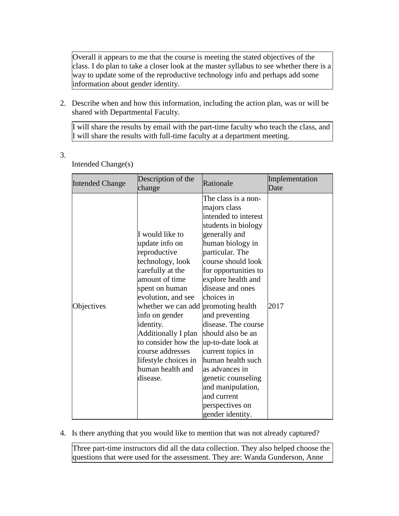Overall it appears to me that the course is meeting the stated objectives of the class. I do plan to take a closer look at the master syllabus to see whether there is a way to update some of the reproductive technology info and perhaps add some information about gender identity.

2. Describe when and how this information, including the action plan, was or will be shared with Departmental Faculty.

I will share the results by email with the part-time faculty who teach the class, and I will share the results with full-time faculty at a department meeting.

| <b>Intended Change</b> | Description of the<br>change                                                                                                                                                                                                                                                                                                                        | Rationale                                                                                                                                                                                                                                                                                                                                                                                                                                                                     | Implementation<br>Date |
|------------------------|-----------------------------------------------------------------------------------------------------------------------------------------------------------------------------------------------------------------------------------------------------------------------------------------------------------------------------------------------------|-------------------------------------------------------------------------------------------------------------------------------------------------------------------------------------------------------------------------------------------------------------------------------------------------------------------------------------------------------------------------------------------------------------------------------------------------------------------------------|------------------------|
| Objectives             | I would like to<br>update info on<br>reproductive<br>technology, look<br>carefully at the<br>amount of time<br>spent on human<br>evolution, and see<br>whether we can add promoting health<br>info on gender<br>identity.<br>Additionally I plan<br>to consider how the<br>course addresses<br>lifestyle choices in<br>human health and<br>disease. | The class is a non-<br>majors class<br>intended to interest<br>students in biology<br>generally and<br>human biology in<br>particular. The<br>course should look<br>for opportunities to<br>explore health and<br>disease and ones<br>choices in<br>and preventing<br>disease. The course<br>should also be an<br>up-to-date look at<br>current topics in<br>human health such<br>as advances in<br>genetic counseling<br>and manipulation,<br>and current<br>perspectives on | 2017                   |
|                        |                                                                                                                                                                                                                                                                                                                                                     | gender identity.                                                                                                                                                                                                                                                                                                                                                                                                                                                              |                        |

# Intended Change(s)

3.

4. Is there anything that you would like to mention that was not already captured?

Three part-time instructors did all the data collection. They also helped choose the questions that were used for the assessment. They are: Wanda Gunderson, Anne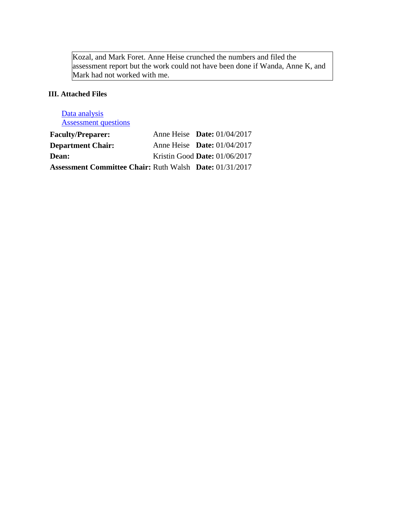Kozal, and Mark Foret. Anne Heise crunched the numbers and filed the assessment report but the work could not have been done if Wanda, Anne K, and Mark had not worked with me.

# **III. Attached Files**

| Data analysis                                                  |                                    |  |
|----------------------------------------------------------------|------------------------------------|--|
| <b>Assessment questions</b>                                    |                                    |  |
| <b>Faculty/Preparer:</b>                                       | Anne Heise <b>Date:</b> 01/04/2017 |  |
| <b>Department Chair:</b>                                       | Anne Heise Date: $01/04/2017$      |  |
| Dean:                                                          | Kristin Good Date: 01/06/2017      |  |
| <b>Assessment Committee Chair: Ruth Walsh Date: 01/31/2017</b> |                                    |  |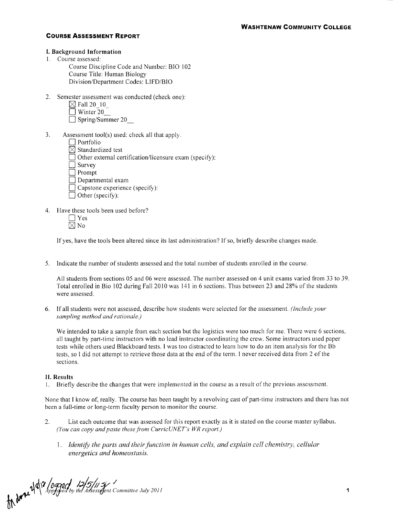#### **I. Background Information**

- 1. Course assessed:
	- Course Discipline Code and Number: BIO 102 Course Title: Human Biology Division/Department Codes: LlFD/BIO
- 2. Semester assessment was conducted (check one):
	- $\boxtimes$  Fall 20  $\,$  10  $\,$
	- $\Box$  Winter 20
	- $\Box$  Spring/Summer 20
- 3. Assessment tool(s) used: check all that apply.
	- $\Box$  Portfolio
	- $\boxtimes$  Standardized test
	- $\Box$  Other external certification/licensure exam (specify):
	- $\Box$  Survey
	- $\overline{\Box}$  Prompt
	- $\Box$  Departmental exam
	- $\Box$  Capstone experience (specify):
	- $\Box$  Other (specify):
- 4. Have these tools been used before?
	- $\Box$  Yes  $\overline{\boxtimes}$  No

If yes, have the tools been altered since its last administration? If so, briet1y describe changes made.

5. Indicate the number of students assessed and the total number of students enrolled in the course.

All students from sections 05 and 06 were assessed. The number assessed on 4 unit exams varied from 33 to 39. Total enrolled in Bio 102 during Fall 2010 was 141 in 6 sections. Thus between 23 and 28% of the students were assessed.

6. If all students were not assessed, describe how students were selected for the assessment. *(Include your sampling method and rationale.)* 

We intended to take a sample from each section but the logistics were too much for me. There were 6 sections, all taught by part-time instructors with no lead instructor coordinating the crew. Some instructors used paper tests while others used Blackboard tests. I was too distracted to learn how to do an item analysis for the Bb tests, so I did not attempt to retrieve those data at the end of the term. I never received data from 2 of the sections.

#### **II. Results**

I. Briet1y describe the changes that were implemented in the course as a result of the previous assessment.

None that I know of, really. The course has been taught by a revolving cast of part-time instructors and there has not been a full-time or long-term faculty person to monitor the course.

- 2. List each outcome that was assessed for this report exactly as it is stated on the course master syllabus. *(You can copy and paste these from CurricUNET's WR report.)* 
	- 1. *Identify the parts and their function in human cells, and explain cell chemistry, cellular energetics and homeostasis.*

219/17 / 09900 12/5/11 2/ 1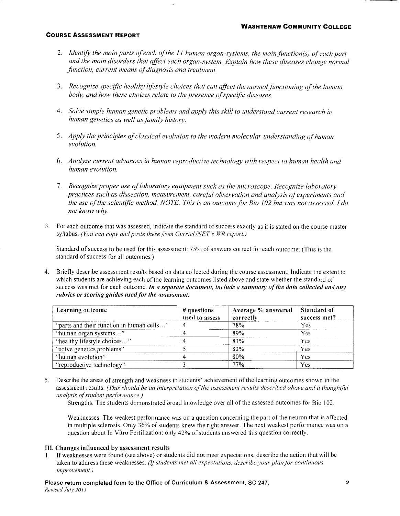- 2. Identify the main parts of each of the 11 human organ-systems, the main function(s) of each part and the main disorders that affect each organ-system. Explain how these diseases change normal *function, current means of diagnosis and treatment.*
- 3. *Recognize specific healthy lifestyle choices that can affect the normalfimctioning of the human*  body, and how these choices relate to the presence of specific diseases.
- 4. *Solve simple human genetic problems and apply this skill to understand current research in human genetics as well as family history.*
- 5. *Apply the principles of classical evolution to the modern molecular understanding of human evolution.*
- 6. *Analyze current advances in human reproductive technology with respect to human health and human evolution.*
- 7. *Recognize proper use of laboratory equipment such as the microscope. Recognize laboratory practices such as dissection, measurement, care fill observation and analysis of experiments and the use of the scientific method. NOTE: This is an outcome for Bio 102 but was not assessed I do not know why.*
- 3. For each outcome that was assessed, indicate the standard of success exactly as it is stated on the course master syllabus. *(You can copy and paste these from CurricUNET's WR report.)*

Standard of success to be used for this assessment: 75% of answers correct for each outcome. (This is the standard of success for all outcomes.)

4. Briefly describe assessment results based on data collected during the course assessment. Indicate the extent to which students are achieving each of the learning outcomes listed above and state whether the standard of success was met for each outcome. *In a separate document, include a summary of the data collected and any rubrics or scoring guides used for the assessment.* 

| Learning outcome                          | $\#$ questions<br>used to assess | Average % answered<br>correctly | Standard of<br>success met? |
|-------------------------------------------|----------------------------------|---------------------------------|-----------------------------|
|                                           |                                  |                                 |                             |
| "parts and their function in human cells" |                                  | 78%                             | Yes                         |
| "human organ systems"                     |                                  | 89%                             | Yes                         |
| "healthy lifestyle choices"               |                                  | 83%                             | Yes                         |
| "solve genetics problems"                 |                                  | 82%                             | Yes                         |
| "human evolution"                         |                                  | 80%                             | Yes                         |
| "reproductive technology"                 |                                  | 77%                             | Yes                         |

5. Describe the areas of strength and weakness in students' achievement ofthe learning outcomes shown in the assessment results. *(This should be an interpretation of the assessment results described above and a thought/ill analysis of student performance.)* 

Strengths: The students demonstrated broad knowledge over all of the assessed outcomes for Bio 102.

Weaknesses: The weakest performance was on a question concerning the part of the neuron that is affected in multiple sclerosis. Only 36% of students knew the right answer. The next weakest performance was on a question about In Vitro Fertilization: only 42% of students answered this question correctly.

## III. Changes influenced by assessment results

I. If weaknesses were found (see above) or students did not meet expectations, describe the action that will be taken to address these weaknesses. *(!/students met all expectations, describe your plan for continuous improvement.)*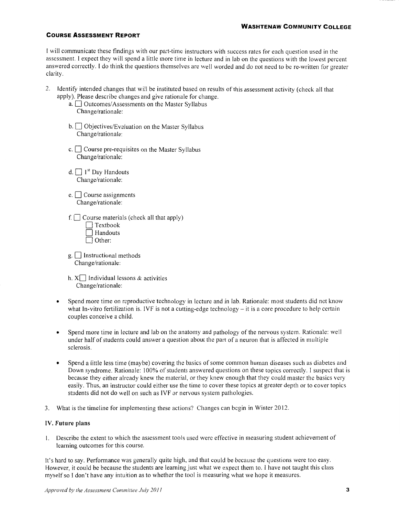I will communicate these findings with our part-time instructors with success rates for each question used in the assessment. I expect they will spend a little more time in lecture and in lab on the questions with the lowest percent answered correctly. I do think the questions themselves are well worded and do not need to be re-written for greater clarity.

- 2. Identify intended changes that will be instituted based on results of this assessment activity (check all that apply). Please describe changes and give rationale for change.
	- a.  $\Box$  Outcomes/Assessments on the Master Syllabus Change/rationale:
	- b. <sup>Objectives/Evaluation</sup> on the Master Syllabus Change/rationale:
	- c.  $\Box$  Course pre-requisites on the Master Syllabus Change/rationale:
	- d.  $\Box$  1<sup>st</sup> Day Handouts Change/rationale:
	- e.  $\Box$  Course assignments Change/rationale:
	- f.  $\Box$  Course materials (check all that apply)
		- $\Box$  Textbook 0 Handouts  $\Box$  Other:
	- $g.$  Instructional methods Change/rationale:
	- h.  $X\Box$  Individual lessons & activities Change/rationale:
	- Spend more time on reproductive technology in lecture and in lab. Rationale: most students did not know what In-vitro fertilization is. IVF is not a cutting-edge technology – it is a core procedure to help certain couples conceive a child.
	- Spend more time in lecture and lab on the anatomy and pathology of the nervous system. Rationale: well under half of students could answer a question about the part of a neuron that is affected in multiple sclerosis.
	- Spend a little less time (maybe) covering the basics of some common human diseases such as diabetes and Down syndrome. Rationale: 100% of students answered questions on these topics correctly. I suspect that is because they either already knew the material, or they knew enough that they could master the basics very easily. Thus, an instructor could either use the time to cover these topics at greater depth or to cover topics students did not do well on such as IVF or nervous system pathologies.
- 3. What is the timeline for implementing these actions? Changes can begin in Winter 2012.

#### **IV. Future plans**

I. Describe the extent to which the assessment tools used were effective in measuring student achievement of learning outcomes for this course.

It's hard to say. Performance was generally quite high, and that could be because the questions were too easy. However, it could be because the students are learning just what we expect them to. I have not taught this class myself so I don't have any intuition as to whether the tool is measuring what we hope it measures.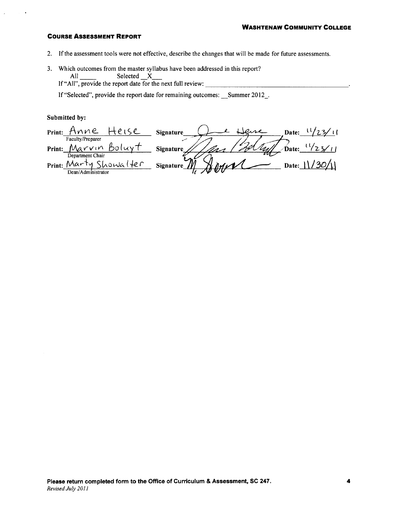- 2. If the assessment tools were not effective, describe the changes that will be made for future assessments.
- 3. Which outcomes from the master syllabus have been addressed in this report? All Selected X<br>If "All", provide the report date for the next full review:

If "Selected", provide the report date for remaining outcomes: \_\_Summer 2012\_.

### Submitted by:

 $\bullet$ 

| Print: | nne                                                                                      | Signature       | Date: |
|--------|------------------------------------------------------------------------------------------|-----------------|-------|
| Print: | Faculty/Preparer<br>Marvin                                                               | -l-<br>Signatur | Date: |
| Print: | Department Chair<br>$\Lambda\Lambda\Lambda r$<br>HeC<br>owa.<br>ັທ<br>Dean/Administrator | Signat          |       |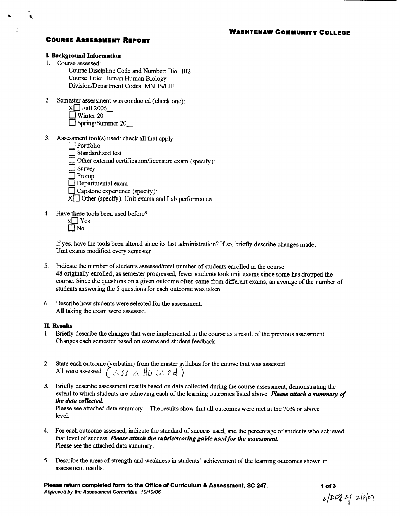## **WASHTENAW COMMUNITY COLLEGE**

## **COURSE ASSESSMENT REPORT**

#### **I. Background Information**

- 1. Course assessed:
	- Course Discipline Code and Number: Bio. 102 Course Title: Human Human Biology Division/Department Codes: MNBS/LIF
- 2. Semester assessment was conducted (check one):
	- $X \square$  Fall 2006
	- $\Box$  Winter 20
	- $\Box$  Spring/Summer 20
- 3. Assessment  $\text{tool}(s)$  used: check all that apply.
	- $\Box$  Portfolio
	- $\Box$  Standardized test
	- Other external certification/licensure exam (specify):

 $\Box$  Survey

 $\Box$  Prompt

 $\Box$  Departmental exam

 $\Box$  Capstone experience (specify):

- $X \Box$  Other (specify): Unit exams and Lab performance
- 4. Have these tools been used before?
	- $x \Box$  Yes  $\square$  No

If yes, have the tools been altered since its last administration? If so, briefly describe changes made. Unit exams modified every semester

- 5. Indicate the number of students assessed/total number of students enrolled in the course. 48 originally enrolled; as semester progressed, fewer students took unit exams since some has dropped the course. Since the questions on a given outcome often came from different exams, an average of the number of students answering the 5 questions for each outcome was taken.
- 6. Describe how students were selected for the assessment. All taking the exam were assessed.

#### **II. Results**

- 1. Briefly describe the changes that were implemented in the course as a result of the previous assessment. Changes each semester based on exams and student feedback
- 2. State each outcome (verbatim) from the master syllabus for the course that was assessed. All were assessed.  $(S_{\ell \ell} \alpha \text{ H0} \text{ A} \epsilon \text{d})$
- 3. Briefly describe assessment results based on data collected during the course assessment, demonstrating the extent to which students are achieving each of the learning outcomes listed above. Please attach a summary of the data collected.

Please see attached data summary. The results show that all outcomes were met at the 70% or above level.

- 4. For each outcome assessed, indicate the standard of success used, and the percentage of students who achieved that level of success. Please attach the rubric/scoring guide used for the assessment. Please see the attached data summary.
- 5. Describe the areas of strength and weakness in students' achievement of the learning outcomes shown in assessment results.

Please return completed form to the Office of Curriculum & Assessment, SC 247. Approved by the Assessment Committee 10/10/06

1 of  $3$  $1/DPZ = 1807$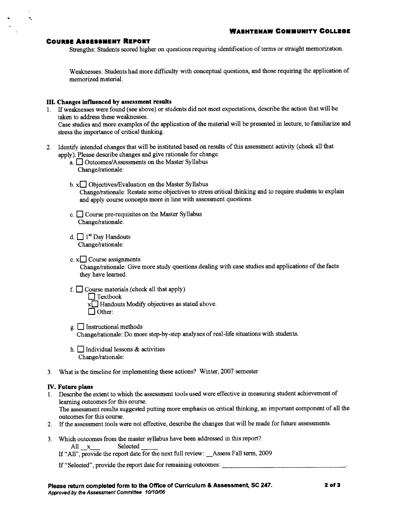$\hat{\mathbf{v}}_i$ 

Strengths: Students scored higher on questions requiring identification of terms or straight memorization.

Weaknesses: Students had more difficulty with conceptual questions, and those requiring the application of memorized material.

#### III. Changes influenced by assessment results

- 1. If weaknesses were found (see above) or students did not meet expectations, describe the action that will be taken to address these weaknesses. Case studies and more examples of the application of the material will be presented in lecture, to familiarize and stress the importance of critical thinking.
- 2. Identify intended changes that will be instituted based on results of this assessment activity (check all that apply). Please describe changes and give rationale for change.
	- a. <u>Outcomes/Assessments</u> on the Master Syllabus Change/rationale:
	- b.  $x \Box$  Objectives/Evaluation on the Master Syllabus Change/rationale: Restate some objectives to stress critical thinking and to require students to explain and apply course concepts more in line with assessment questions.
	- c.  $\Box$  Course pre-requisites on the Master Syllabus Change/rationale:
	- d.  $\Box$  1<sup>st</sup> Day Handouts Change/rationale:
	- $e. x \Box$  Course assignments Change/rationale: Give more study questions dealing with case studies and applications of the facts they have learned.
	- $f.$  Course materials (check all that apply)  $\Box$  Textbook
		- $x \Box$  Handouts Modify objectives as stated above.  $\Box$  Other:
	- $g \Box$  Instructional methods Change/rationale: Do more step-by-step analyses of real-life situations with students.
	- h.  $\Box$  Individual lessons & activities Change/rationale:
- 3. What is the timeline for implementing these actions? Winter, 2007 semester

#### **IV.** Future plans

- 1. Describe the extent to which the assessment tools used were effective in measuring student achievement of learning outcomes for this course. The assessment results suggested putting more emphasis on critical thinking, an important component of all the outcomes for this course.
- 2. If the assessment tools were not effective, describe the changes that will be made for future assessments.
- 3. Which outcomes from the master syllabus have been addressed in this report? All x Selected
	- If "All", provide the report date for the next full review: \_\_Assess Fall term, 2009

If "Selected", provide the report date for remaining outcomes: